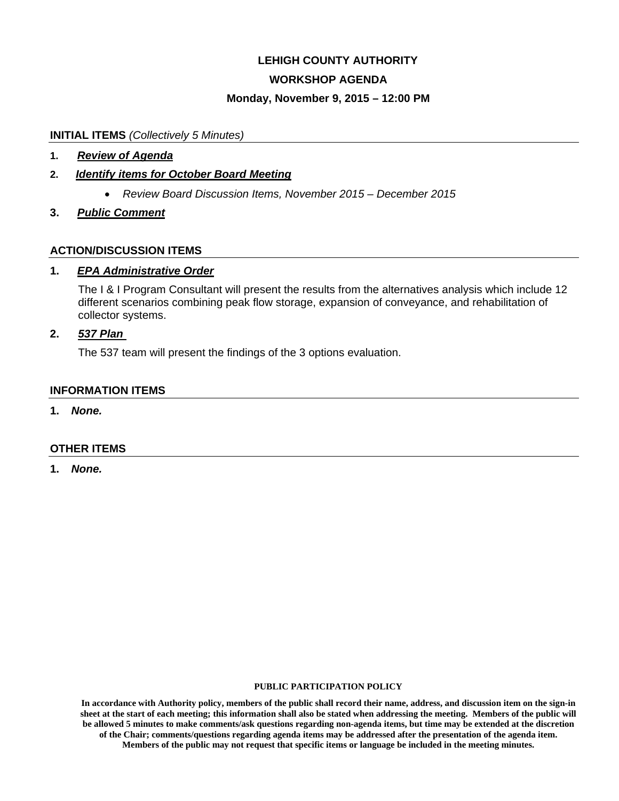# **LEHIGH COUNTY AUTHORITY**

## **WORKSHOP AGENDA**

### **Monday, November 9, 2015 – 12:00 PM**

#### **INITIAL ITEMS** *(Collectively 5 Minutes)*

**1.** *Review of Agenda* 

## **2.** *Identify items for October Board Meeting*

- *Review Board Discussion Items, November 2015 December 2015*
- **3.** *Public Comment*

### **ACTION/DISCUSSION ITEMS**

### **1.** *EPA Administrative Order*

The I & I Program Consultant will present the results from the alternatives analysis which include 12 different scenarios combining peak flow storage, expansion of conveyance, and rehabilitation of collector systems.

# **2.** *537 Plan*

The 537 team will present the findings of the 3 options evaluation.

#### **INFORMATION ITEMS**

**1.** *None.* 

## **OTHER ITEMS**

**1.** *None.*

#### **PUBLIC PARTICIPATION POLICY**

**In accordance with Authority policy, members of the public shall record their name, address, and discussion item on the sign-in sheet at the start of each meeting; this information shall also be stated when addressing the meeting. Members of the public will be allowed 5 minutes to make comments/ask questions regarding non-agenda items, but time may be extended at the discretion of the Chair; comments/questions regarding agenda items may be addressed after the presentation of the agenda item. Members of the public may not request that specific items or language be included in the meeting minutes.**